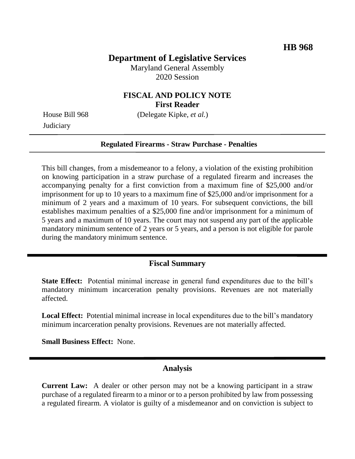## **Department of Legislative Services**

Maryland General Assembly 2020 Session

## **FISCAL AND POLICY NOTE First Reader**

**Judiciary** 

House Bill 968 (Delegate Kipke, *et al.*)

#### **Regulated Firearms - Straw Purchase - Penalties**

This bill changes, from a misdemeanor to a felony, a violation of the existing prohibition on knowing participation in a straw purchase of a regulated firearm and increases the accompanying penalty for a first conviction from a maximum fine of \$25,000 and/or imprisonment for up to 10 years to a maximum fine of \$25,000 and/or imprisonment for a minimum of 2 years and a maximum of 10 years. For subsequent convictions, the bill establishes maximum penalties of a \$25,000 fine and/or imprisonment for a minimum of 5 years and a maximum of 10 years. The court may not suspend any part of the applicable mandatory minimum sentence of 2 years or 5 years, and a person is not eligible for parole during the mandatory minimum sentence.

## **Fiscal Summary**

**State Effect:** Potential minimal increase in general fund expenditures due to the bill's mandatory minimum incarceration penalty provisions. Revenues are not materially affected.

**Local Effect:** Potential minimal increase in local expenditures due to the bill's mandatory minimum incarceration penalty provisions. Revenues are not materially affected.

**Small Business Effect:** None.

#### **Analysis**

**Current Law:** A dealer or other person may not be a knowing participant in a straw purchase of a regulated firearm to a minor or to a person prohibited by law from possessing a regulated firearm. A violator is guilty of a misdemeanor and on conviction is subject to